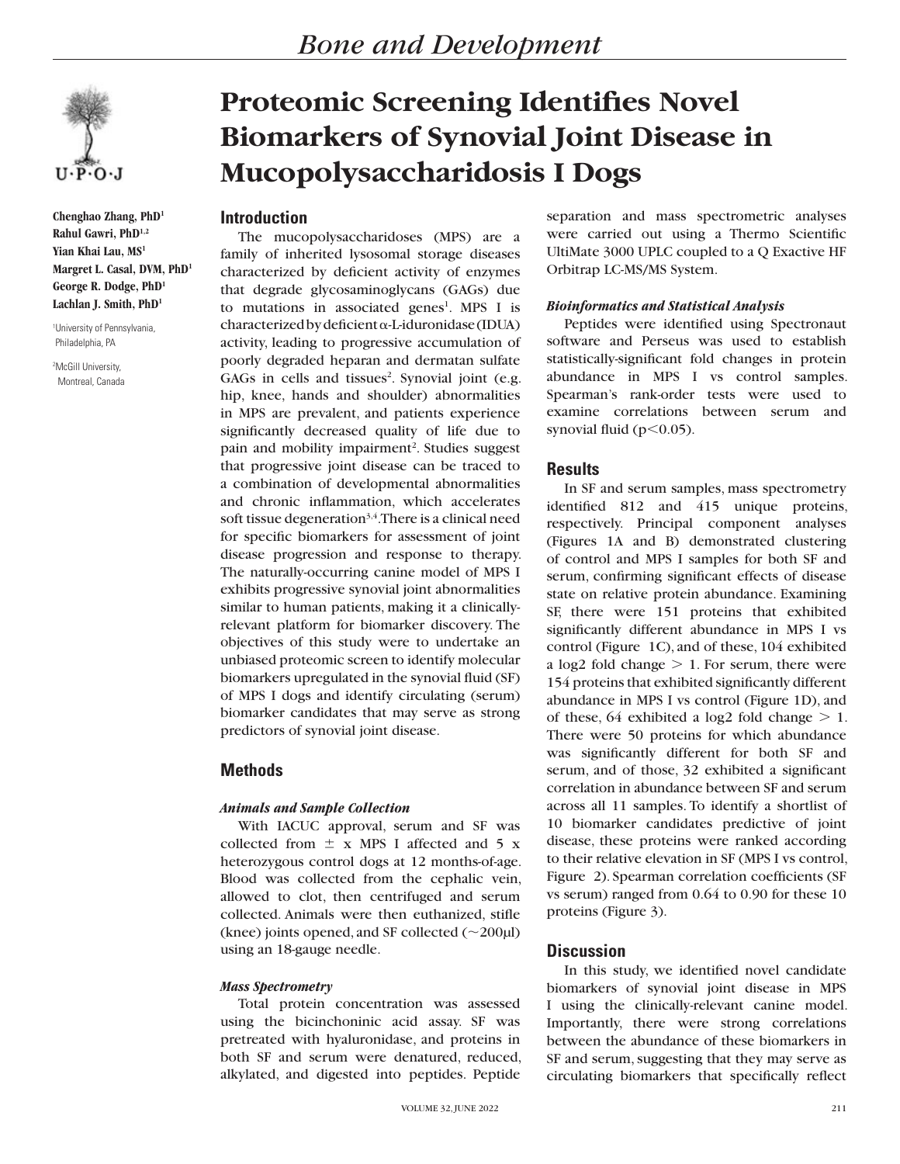

**Chenghao Zhang, PhD1 Rahul Gawri, PhD1,2 Yian Khai Lau, MS1 Margret L. Casal, DVM, PhD1 George R. Dodge, PhD1 Lachlan J. Smith, PhD1**

1 University of Pennsylvania, Philadelphia, PA

2 McGill University, Montreal, Canada

# **Proteomic Screening Identifies Novel Biomarkers of Synovial Joint Disease in Mucopolysaccharidosis I Dogs**

# **Introduction**

The mucopolysaccharidoses (MPS) are a family of inherited lysosomal storage diseases characterized by deficient activity of enzymes that degrade glycosaminoglycans (GAGs) due to mutations in associated genes<sup>1</sup>. MPS I is  $characterized by deficient \alpha-Liduronidase (IDUA)$ activity, leading to progressive accumulation of poorly degraded heparan and dermatan sulfate GAGs in cells and tissues<sup>2</sup>. Synovial joint (e.g. hip, knee, hands and shoulder) abnormalities in MPS are prevalent, and patients experience significantly decreased quality of life due to pain and mobility impairment<sup>2</sup>. Studies suggest that progressive joint disease can be traced to a combination of developmental abnormalities and chronic inflammation, which accelerates soft tissue degeneration<sup>3,4</sup>. There is a clinical need for specific biomarkers for assessment of joint disease progression and response to therapy. The naturally-occurring canine model of MPS I exhibits progressive synovial joint abnormalities similar to human patients, making it a clinicallyrelevant platform for biomarker discovery. The objectives of this study were to undertake an unbiased proteomic screen to identify molecular biomarkers upregulated in the synovial fluid (SF) of MPS I dogs and identify circulating (serum) biomarker candidates that may serve as strong predictors of synovial joint disease.

# **Methods**

## *Animals and Sample Collection*

With IACUC approval, serum and SF was collected from  $\pm$  x MPS I affected and 5 x heterozygous control dogs at 12 months-of-age. Blood was collected from the cephalic vein, allowed to clot, then centrifuged and serum collected. Animals were then euthanized, stifle (knee) joints opened, and SF collected  $(\sim 200 \mu l)$ using an 18-gauge needle.

## *Mass Spectrometry*

Total protein concentration was assessed using the bicinchoninic acid assay. SF was pretreated with hyaluronidase, and proteins in both SF and serum were denatured, reduced, alkylated, and digested into peptides. Peptide

separation and mass spectrometric analyses were carried out using a Thermo Scientific UltiMate 3000 UPLC coupled to a Q Exactive HF Orbitrap LC-MS/MS System.

### *Bioinformatics and Statistical Analysis*

Peptides were identified using Spectronaut software and Perseus was used to establish statistically-significant fold changes in protein abundance in MPS I vs control samples. Spearman's rank-order tests were used to examine correlations between serum and synovial fluid ( $p<0.05$ ).

## **Results**

In SF and serum samples, mass spectrometry identified 812 and 415 unique proteins, respectively. Principal component analyses (Figures 1A and B) demonstrated clustering of control and MPS I samples for both SF and serum, confirming significant effects of disease state on relative protein abundance. Examining SF, there were 151 proteins that exhibited significantly different abundance in MPS I vs control (Figure 1C), and of these, 104 exhibited a log2 fold change  $> 1$ . For serum, there were 154 proteins that exhibited significantly different abundance in MPS I vs control (Figure 1D), and of these, 64 exhibited a log2 fold change  $> 1$ . There were 50 proteins for which abundance was significantly different for both SF and serum, and of those, 32 exhibited a significant correlation in abundance between SF and serum across all 11 samples. To identify a shortlist of 10 biomarker candidates predictive of joint disease, these proteins were ranked according to their relative elevation in SF (MPS I vs control, Figure 2). Spearman correlation coefficients (SF vs serum) ranged from 0.64 to 0.90 for these 10 proteins (Figure 3).

## **Discussion**

In this study, we identified novel candidate biomarkers of synovial joint disease in MPS I using the clinically-relevant canine model. Importantly, there were strong correlations between the abundance of these biomarkers in SF and serum, suggesting that they may serve as circulating biomarkers that specifically reflect